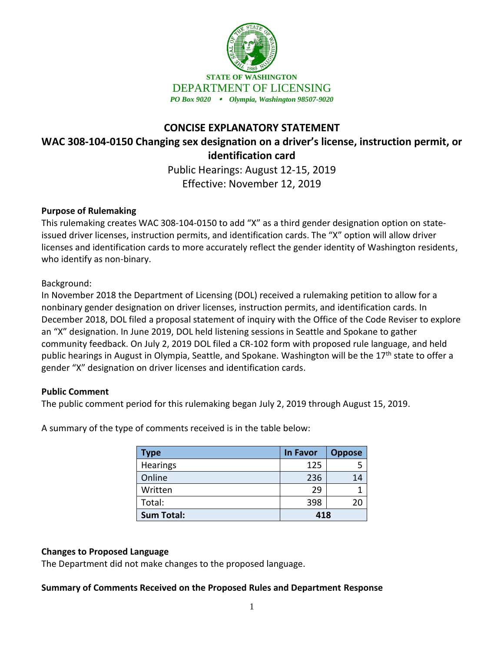

# **CONCISE EXPLANATORY STATEMENT WAC 308-104-0150 Changing sex designation on a driver's license, instruction permit, or identification card**

Public Hearings: August 12-15, 2019 Effective: November 12, 2019

## **Purpose of Rulemaking**

This rulemaking creates WAC 308-104-0150 to add "X" as a third gender designation option on stateissued driver licenses, instruction permits, and identification cards. The "X" option will allow driver licenses and identification cards to more accurately reflect the gender identity of Washington residents, who identify as non-binary.

## Background:

In November 2018 the Department of Licensing (DOL) received a rulemaking petition to allow for a nonbinary gender designation on driver licenses, instruction permits, and identification cards. In December 2018, DOL filed a proposal statement of inquiry with the Office of the Code Reviser to explore an "X" designation. In June 2019, DOL held listening sessions in Seattle and Spokane to gather community feedback. On July 2, 2019 DOL filed a CR-102 form with proposed rule language, and held public hearings in August in Olympia, Seattle, and Spokane. Washington will be the 17<sup>th</sup> state to offer a gender "X" designation on driver licenses and identification cards.

#### **Public Comment**

The public comment period for this rulemaking began July 2, 2019 through August 15, 2019.

| Type              | <b>In Favor</b> | <b>Oppose</b> |
|-------------------|-----------------|---------------|
| <b>Hearings</b>   | 125             |               |
| Online            | 236             | 14            |
| Written           | 29              |               |
| Total:            | 398             | 20            |
| <b>Sum Total:</b> | 418             |               |

A summary of the type of comments received is in the table below:

# **Changes to Proposed Language**

The Department did not make changes to the proposed language.

#### **Summary of Comments Received on the Proposed Rules and Department Response**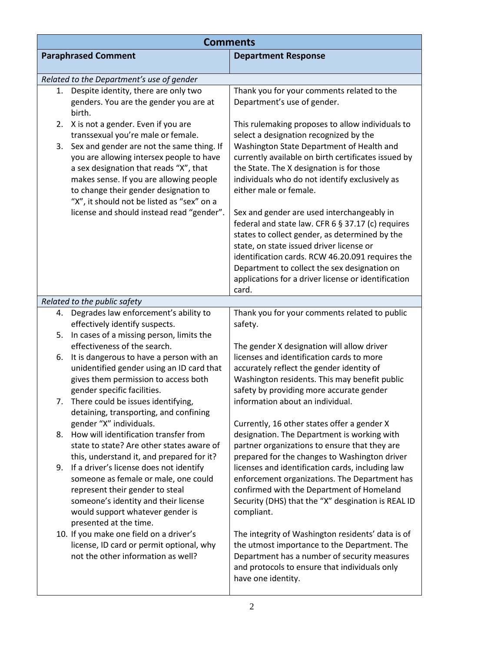| <b>Comments</b>            |                                                                                                                                                                                                                     |                                                                                                                                                                                                                           |
|----------------------------|---------------------------------------------------------------------------------------------------------------------------------------------------------------------------------------------------------------------|---------------------------------------------------------------------------------------------------------------------------------------------------------------------------------------------------------------------------|
| <b>Paraphrased Comment</b> |                                                                                                                                                                                                                     | <b>Department Response</b>                                                                                                                                                                                                |
|                            | Related to the Department's use of gender                                                                                                                                                                           |                                                                                                                                                                                                                           |
| 1.                         | Despite identity, there are only two<br>genders. You are the gender you are at<br>birth.                                                                                                                            | Thank you for your comments related to the<br>Department's use of gender.                                                                                                                                                 |
| 2.                         | X is not a gender. Even if you are<br>transsexual you're male or female.                                                                                                                                            | This rulemaking proposes to allow individuals to<br>select a designation recognized by the                                                                                                                                |
| 3.                         | Sex and gender are not the same thing. If<br>you are allowing intersex people to have<br>a sex designation that reads "X", that<br>makes sense. If you are allowing people<br>to change their gender designation to | Washington State Department of Health and<br>currently available on birth certificates issued by<br>the State. The X designation is for those<br>individuals who do not identify exclusively as<br>either male or female. |
|                            | "X", it should not be listed as "sex" on a<br>license and should instead read "gender".                                                                                                                             | Sex and gender are used interchangeably in                                                                                                                                                                                |
|                            |                                                                                                                                                                                                                     | federal and state law. CFR 6 § 37.17 (c) requires<br>states to collect gender, as determined by the<br>state, on state issued driver license or                                                                           |
|                            |                                                                                                                                                                                                                     | identification cards. RCW 46.20.091 requires the<br>Department to collect the sex designation on<br>applications for a driver license or identification<br>card.                                                          |
|                            | Related to the public safety                                                                                                                                                                                        |                                                                                                                                                                                                                           |
| 4.                         | Degrades law enforcement's ability to                                                                                                                                                                               | Thank you for your comments related to public                                                                                                                                                                             |
|                            | effectively identify suspects.                                                                                                                                                                                      | safety.                                                                                                                                                                                                                   |
| 5.                         | In cases of a missing person, limits the                                                                                                                                                                            |                                                                                                                                                                                                                           |
|                            | effectiveness of the search.                                                                                                                                                                                        | The gender X designation will allow driver<br>licenses and identification cards to more                                                                                                                                   |
| 6.                         | It is dangerous to have a person with an<br>unidentified gender using an ID card that                                                                                                                               | accurately reflect the gender identity of                                                                                                                                                                                 |
|                            | gives them permission to access both                                                                                                                                                                                | Washington residents. This may benefit public                                                                                                                                                                             |
|                            | gender specific facilities.                                                                                                                                                                                         | safety by providing more accurate gender                                                                                                                                                                                  |
|                            | There could be issues identifying,                                                                                                                                                                                  | information about an individual.                                                                                                                                                                                          |
|                            | detaining, transporting, and confining                                                                                                                                                                              |                                                                                                                                                                                                                           |
|                            | gender "X" individuals.                                                                                                                                                                                             | Currently, 16 other states offer a gender X                                                                                                                                                                               |
| 8.                         | How will identification transfer from                                                                                                                                                                               | designation. The Department is working with                                                                                                                                                                               |
|                            | state to state? Are other states aware of                                                                                                                                                                           | partner organizations to ensure that they are                                                                                                                                                                             |
|                            | this, understand it, and prepared for it?                                                                                                                                                                           | prepared for the changes to Washington driver                                                                                                                                                                             |
| 9.                         | If a driver's license does not identify                                                                                                                                                                             | licenses and identification cards, including law                                                                                                                                                                          |
|                            | someone as female or male, one could                                                                                                                                                                                | enforcement organizations. The Department has                                                                                                                                                                             |
|                            | represent their gender to steal                                                                                                                                                                                     | confirmed with the Department of Homeland                                                                                                                                                                                 |
|                            | someone's identity and their license                                                                                                                                                                                | Security (DHS) that the "X" desgination is REAL ID                                                                                                                                                                        |
|                            | would support whatever gender is                                                                                                                                                                                    | compliant.                                                                                                                                                                                                                |
|                            | presented at the time.                                                                                                                                                                                              |                                                                                                                                                                                                                           |
|                            | 10. If you make one field on a driver's                                                                                                                                                                             | The integrity of Washington residents' data is of                                                                                                                                                                         |
|                            | license, ID card or permit optional, why<br>not the other information as well?                                                                                                                                      | the utmost importance to the Department. The<br>Department has a number of security measures<br>and protocols to ensure that individuals only<br>have one identity.                                                       |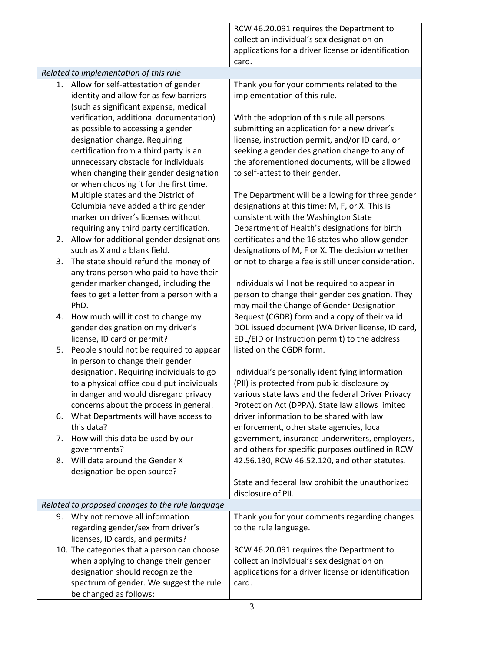|    |                                                  | RCW 46.20.091 requires the Department to             |
|----|--------------------------------------------------|------------------------------------------------------|
|    |                                                  | collect an individual's sex designation on           |
|    |                                                  | applications for a driver license or identification  |
|    |                                                  | card.                                                |
|    | Related to implementation of this rule           |                                                      |
| 1. | Allow for self-attestation of gender             | Thank you for your comments related to the           |
|    | identity and allow for as few barriers           | implementation of this rule.                         |
|    | (such as significant expense, medical            |                                                      |
|    | verification, additional documentation)          | With the adoption of this rule all persons           |
|    | as possible to accessing a gender                | submitting an application for a new driver's         |
|    | designation change. Requiring                    | license, instruction permit, and/or ID card, or      |
|    | certification from a third party is an           | seeking a gender designation change to any of        |
|    | unnecessary obstacle for individuals             | the aforementioned documents, will be allowed        |
|    | when changing their gender designation           | to self-attest to their gender.                      |
|    | or when choosing it for the first time.          |                                                      |
|    | Multiple states and the District of              | The Department will be allowing for three gender     |
|    | Columbia have added a third gender               | designations at this time: M, F, or X. This is       |
|    | marker on driver's licenses without              | consistent with the Washington State                 |
|    | requiring any third party certification.         | Department of Health's designations for birth        |
| 2. | Allow for additional gender designations         | certificates and the 16 states who allow gender      |
|    | such as X and a blank field.                     | designations of M, F or X. The decision whether      |
| 3. | The state should refund the money of             | or not to charge a fee is still under consideration. |
|    | any trans person who paid to have their          |                                                      |
|    | gender marker changed, including the             | Individuals will not be required to appear in        |
|    | fees to get a letter from a person with a        | person to change their gender designation. They      |
|    | PhD.                                             | may mail the Change of Gender Designation            |
| 4. | How much will it cost to change my               | Request (CGDR) form and a copy of their valid        |
|    | gender designation on my driver's                | DOL issued document (WA Driver license, ID card,     |
|    | license, ID card or permit?                      | EDL/EID or Instruction permit) to the address        |
| 5. | People should not be required to appear          | listed on the CGDR form.                             |
|    | in person to change their gender                 |                                                      |
|    | designation. Requiring individuals to go         | Individual's personally identifying information      |
|    | to a physical office could put individuals       | (PII) is protected from public disclosure by         |
|    | in danger and would disregard privacy            | various state laws and the federal Driver Privacy    |
|    | concerns about the process in general.           | Protection Act (DPPA). State law allows limited      |
| 6. | What Departments will have access to             | driver information to be shared with law             |
|    | this data?                                       | enforcement, other state agencies, local             |
| 7. | How will this data be used by our                | government, insurance underwriters, employers,       |
|    | governments?                                     | and others for specific purposes outlined in RCW     |
| 8. | Will data around the Gender X                    | 42.56.130, RCW 46.52.120, and other statutes.        |
|    | designation be open source?                      |                                                      |
|    |                                                  | State and federal law prohibit the unauthorized      |
|    |                                                  | disclosure of PII.                                   |
|    | Related to proposed changes to the rule language |                                                      |
| 9. | Why not remove all information                   | Thank you for your comments regarding changes        |
|    | regarding gender/sex from driver's               | to the rule language.                                |
|    | licenses, ID cards, and permits?                 |                                                      |
|    | 10. The categories that a person can choose      | RCW 46.20.091 requires the Department to             |
|    | when applying to change their gender             | collect an individual's sex designation on           |
|    | designation should recognize the                 | applications for a driver license or identification  |
|    |                                                  |                                                      |
|    | spectrum of gender. We suggest the rule          | card.                                                |
|    | be changed as follows:                           |                                                      |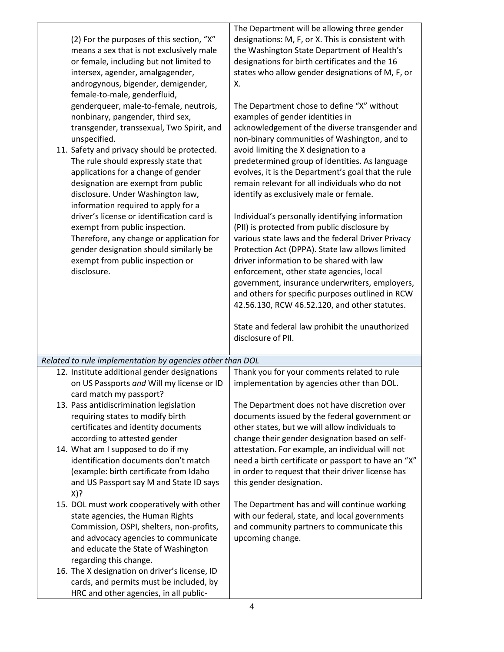| (2) For the purposes of this section, "X"<br>means a sex that is not exclusively male<br>or female, including but not limited to<br>intersex, agender, amalgagender,<br>androgynous, bigender, demigender,<br>female-to-male, genderfluid,<br>genderqueer, male-to-female, neutrois,<br>nonbinary, pangender, third sex,<br>transgender, transsexual, Two Spirit, and<br>unspecified.<br>11. Safety and privacy should be protected.<br>The rule should expressly state that<br>applications for a change of gender<br>designation are exempt from public<br>disclosure. Under Washington law,<br>information required to apply for a<br>driver's license or identification card is<br>exempt from public inspection.<br>Therefore, any change or application for<br>gender designation should similarly be<br>exempt from public inspection or<br>disclosure. | The Department will be allowing three gender<br>designations: M, F, or X. This is consistent with<br>the Washington State Department of Health's<br>designations for birth certificates and the 16<br>states who allow gender designations of M, F, or<br>Χ.<br>The Department chose to define "X" without<br>examples of gender identities in<br>acknowledgement of the diverse transgender and<br>non-binary communities of Washington, and to<br>avoid limiting the X designation to a<br>predetermined group of identities. As language<br>evolves, it is the Department's goal that the rule<br>remain relevant for all individuals who do not<br>identify as exclusively male or female.<br>Individual's personally identifying information<br>(PII) is protected from public disclosure by<br>various state laws and the federal Driver Privacy<br>Protection Act (DPPA). State law allows limited<br>driver information to be shared with law<br>enforcement, other state agencies, local<br>government, insurance underwriters, employers,<br>and others for specific purposes outlined in RCW<br>42.56.130, RCW 46.52.120, and other statutes.<br>State and federal law prohibit the unauthorized |
|----------------------------------------------------------------------------------------------------------------------------------------------------------------------------------------------------------------------------------------------------------------------------------------------------------------------------------------------------------------------------------------------------------------------------------------------------------------------------------------------------------------------------------------------------------------------------------------------------------------------------------------------------------------------------------------------------------------------------------------------------------------------------------------------------------------------------------------------------------------|-------------------------------------------------------------------------------------------------------------------------------------------------------------------------------------------------------------------------------------------------------------------------------------------------------------------------------------------------------------------------------------------------------------------------------------------------------------------------------------------------------------------------------------------------------------------------------------------------------------------------------------------------------------------------------------------------------------------------------------------------------------------------------------------------------------------------------------------------------------------------------------------------------------------------------------------------------------------------------------------------------------------------------------------------------------------------------------------------------------------------------------------------------------------------------------------------------------|
|                                                                                                                                                                                                                                                                                                                                                                                                                                                                                                                                                                                                                                                                                                                                                                                                                                                                | disclosure of PII.                                                                                                                                                                                                                                                                                                                                                                                                                                                                                                                                                                                                                                                                                                                                                                                                                                                                                                                                                                                                                                                                                                                                                                                          |
| Related to rule implementation by agencies other than DOL                                                                                                                                                                                                                                                                                                                                                                                                                                                                                                                                                                                                                                                                                                                                                                                                      |                                                                                                                                                                                                                                                                                                                                                                                                                                                                                                                                                                                                                                                                                                                                                                                                                                                                                                                                                                                                                                                                                                                                                                                                             |
| 12. Institute additional gender designations<br>on US Passports and Will my license or ID<br>card match my passport?                                                                                                                                                                                                                                                                                                                                                                                                                                                                                                                                                                                                                                                                                                                                           | Thank you for your comments related to rule<br>implementation by agencies other than DOL.                                                                                                                                                                                                                                                                                                                                                                                                                                                                                                                                                                                                                                                                                                                                                                                                                                                                                                                                                                                                                                                                                                                   |
| 13. Pass antidiscrimination legislation<br>requiring states to modify birth<br>certificates and identity documents<br>according to attested gender                                                                                                                                                                                                                                                                                                                                                                                                                                                                                                                                                                                                                                                                                                             | The Department does not have discretion over<br>documents issued by the federal government or<br>other states, but we will allow individuals to<br>change their gender designation based on self-                                                                                                                                                                                                                                                                                                                                                                                                                                                                                                                                                                                                                                                                                                                                                                                                                                                                                                                                                                                                           |
| 14. What am I supposed to do if my<br>identification documents don't match<br>(example: birth certificate from Idaho<br>and US Passport say M and State ID says<br>$X$ ?                                                                                                                                                                                                                                                                                                                                                                                                                                                                                                                                                                                                                                                                                       | attestation. For example, an individual will not<br>need a birth certificate or passport to have an "X"<br>in order to request that their driver license has<br>this gender designation.                                                                                                                                                                                                                                                                                                                                                                                                                                                                                                                                                                                                                                                                                                                                                                                                                                                                                                                                                                                                                    |
| 15. DOL must work cooperatively with other<br>state agencies, the Human Rights<br>Commission, OSPI, shelters, non-profits,<br>and advocacy agencies to communicate<br>and educate the State of Washington<br>regarding this change.                                                                                                                                                                                                                                                                                                                                                                                                                                                                                                                                                                                                                            | The Department has and will continue working<br>with our federal, state, and local governments<br>and community partners to communicate this<br>upcoming change.                                                                                                                                                                                                                                                                                                                                                                                                                                                                                                                                                                                                                                                                                                                                                                                                                                                                                                                                                                                                                                            |
| 16. The X designation on driver's license, ID<br>cards, and permits must be included, by<br>HRC and other agencies, in all public-                                                                                                                                                                                                                                                                                                                                                                                                                                                                                                                                                                                                                                                                                                                             |                                                                                                                                                                                                                                                                                                                                                                                                                                                                                                                                                                                                                                                                                                                                                                                                                                                                                                                                                                                                                                                                                                                                                                                                             |